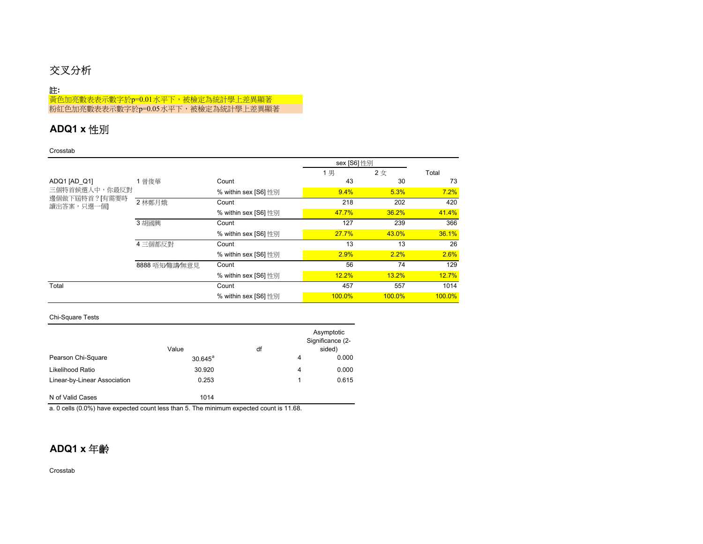# 交叉分析

### 註**:**

黃色加亮數表表示數字於p=0.01水平下,被檢定為統計學上差異顯著 粉紅色加亮數表表示數字於p=0.05水平下,被檢定為統計學上差異顯著

### **ADQ1 x** 性別

### Crosstab

|                                               |                |                      | sex [S6] 性別   |           |        |
|-----------------------------------------------|----------------|----------------------|---------------|-----------|--------|
|                                               |                |                      | 1男            | 2女        | Total  |
| ADQ1 [AD Q1]                                  | 1 曾俊華          | Count                | 43            | 30        | 73     |
| 三個特首候選人中,你最反對<br>邊個做下屆特首? [有需要時<br>讀出答案,只選一個1 |                | % within sex [S6] 性別 | 9.4%          | 5.3%      | 7.2%   |
|                                               | 2 林鄭月娥         | Count                | 218           | 202       | 420    |
|                                               |                | % within sex [S6] 性別 | 47.7%         | 36.2%     | 41.4%  |
|                                               | 3 胡國興          | Count                | 127           | 239       | 366    |
|                                               |                | % within sex [S6] 性別 | 27.7%         | 43.0%     | 36.1%  |
|                                               | 4 三個都反對        | Count                | 13            | 13        | 26     |
|                                               |                | % within sex [S6] 性別 | 2.9%          | 2.2%      | 2.6%   |
|                                               | 8888 唔知/難講/無意見 | Count                | 56            | 74        | 129    |
|                                               |                | % within sex [S6] 性別 | 12.2%         | 13.2%     | 12.7%  |
| Total                                         |                | Count                | 457           | 557       | 1014   |
|                                               |                | % within sex [S6] 性別 | <b>100.0%</b> | $100.0\%$ | 100.0% |

### Chi-Square Tests

|                              | Value            | df |   | Asymptotic<br>Significance (2-<br>sided) |
|------------------------------|------------------|----|---|------------------------------------------|
| Pearson Chi-Square           | $30.645^{\circ}$ |    | 4 | 0.000                                    |
| Likelihood Ratio             | 30.920           |    | 4 | 0.000                                    |
| Linear-by-Linear Association | 0.253            |    |   | 0.615                                    |
| N of Valid Cases             | 1014             |    |   |                                          |

a. 0 cells (0.0%) have expected count less than 5. The minimum expected count is 11.68.

## **ADQ1 x** 年齡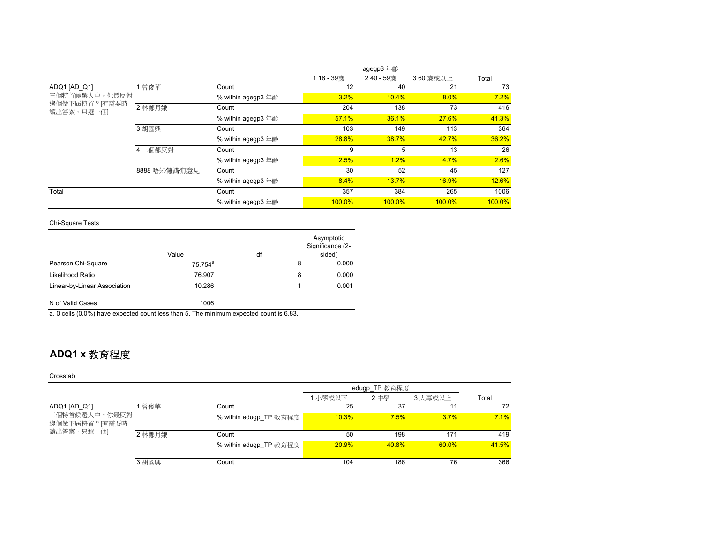|                              |                |                    | agegp3 年齡 |           |              |        |
|------------------------------|----------------|--------------------|-----------|-----------|--------------|--------|
|                              |                |                    | 118-39歳   | 240 - 59歳 | 360 歳或以上     | Total  |
| ADQ1 [AD Q1]                 | 1 曾俊華          | Count              | 12        | 40        | 21           | 73     |
| 三個特首候選人中,你最反對                |                | % within agegp3 年齡 | 3.2%      | 10.4%     | 8.0%         | 7.2%   |
| 邊個做下屆特首? [有需要時<br>讀出答案,只選一個1 | 2 林鄭月娥         | Count              | 204       | 138       | 73           | 416    |
|                              |                | % within agegp3 年齡 | 57.1%     | 36.1%     | 27.6%        | 41.3%  |
|                              | 3 胡國興          | Count              | 103       | 149       | 113          | 364    |
|                              |                | % within agegp3 年齡 | 28.8%     | 38.7%     | 42.7%        | 36.2%  |
|                              | 4 三個都反對        | Count              | 9         | 5         | 13           | 26     |
|                              |                | % within agegp3 年齡 | 2.5%      | 1.2%      | 4.7%         | 2.6%   |
|                              | 8888 唔知/難講/無意見 | Count              | 30        | 52        | 45           | 127    |
|                              |                | % within agegp3 年齡 | 8.4%      | 13.7%     | <b>16.9%</b> | 12.6%  |
| Total                        |                | Count              | 357       | 384       | 265          | 1006   |
|                              |                | % within agegp3 年齡 | 100.0%    | 100.0%    | $100.0\%$    | 100.0% |

|                              | Value               | df |   | Asymptotic<br>Significance (2-<br>sided) |
|------------------------------|---------------------|----|---|------------------------------------------|
| Pearson Chi-Square           | 75.754 <sup>a</sup> |    | 8 | 0.000                                    |
| Likelihood Ratio             | 76.907              |    | 8 | 0.000                                    |
| Linear-by-Linear Association | 10.286              |    |   | 0.001                                    |
| N of Valid Cases             | 1006                |    |   |                                          |

a. 0 cells (0.0%) have expected count less than 5. The minimum expected count is 6.83.

## **ADQ1 x** 教育程度

|                                                |        |                        | edugp_TP 教育程度 |       |          |       |
|------------------------------------------------|--------|------------------------|---------------|-------|----------|-------|
|                                                |        |                        | 1小學或以下        | 2 中學  | 3 大專或以上  | Total |
| ADQ1 [AD Q1]<br>三個特首候選人中,你最反對<br>邊個做下屆特首?[有需要時 | 曾俊華    | Count                  | 25            | 37    | 11       | 72    |
|                                                |        | % within edugp TP 教育程度 | 10.3%         | 7.5%  | 3.7%     | 7.1%  |
| 讀出答案,只選一個1                                     | 2 林鄭月娥 | Count                  | 50            | 198   | 171      | 419   |
|                                                |        | % within edugp TP 教育程度 | 20.9%         | 40.8% | $60.0\%$ | 41.5% |
|                                                | 3 胡國興  | Count                  | 104           | 186   | 76       | 366   |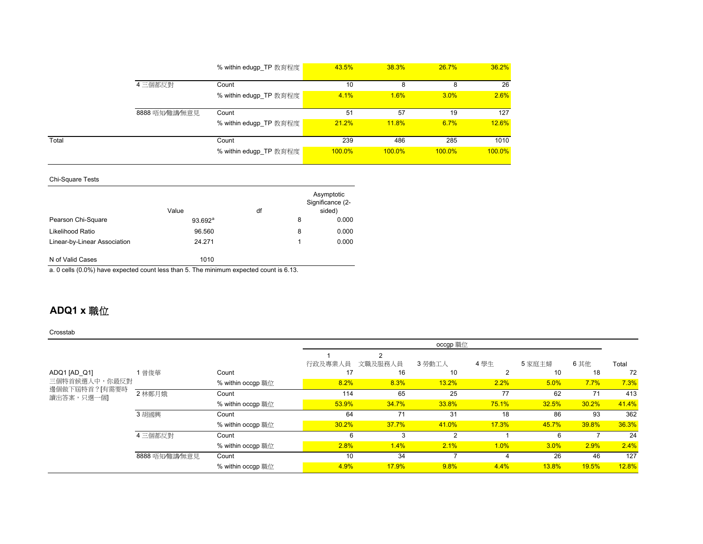|       |                | % within edugp TP 教育程度 | 43.5%  | 38.3%     | 26.7%     | 36.2%  |
|-------|----------------|------------------------|--------|-----------|-----------|--------|
|       | 4 三個都反對        | Count                  | 10     | 8         | 8         | 26     |
|       |                | % within edugp TP 教育程度 | 4.1%   | 1.6%      | 3.0%      | 2.6%   |
|       | 8888 唔知/難講/無意見 | Count                  | 51     | 57        | 19        | 127    |
|       |                | % within edugp TP 教育程度 | 21.2%  | 11.8%     | 6.7%      | 12.6%  |
| Total |                | Count                  | 239    | 486       | 285       | 1010   |
|       |                | % within edugp TP 教育程度 | 100.0% | $100.0\%$ | $100.0\%$ | 100.0% |

|                                                                                                                                                    | Value      | df |   | Asymptotic<br>Significance (2-<br>sided) |
|----------------------------------------------------------------------------------------------------------------------------------------------------|------------|----|---|------------------------------------------|
| Pearson Chi-Square                                                                                                                                 | $93.692^a$ |    | 8 | 0.000                                    |
| Likelihood Ratio                                                                                                                                   | 96.560     |    | 8 | 0.000                                    |
| Linear-by-Linear Association                                                                                                                       | 24.271     |    |   | 0.000                                    |
| N of Valid Cases<br>$\sim$ 0.11 $\sim$ 0.000 km $\sim$ 1.1 $\sim$ 1.1 $\sim$ 1.1 $\sim$ 1.1 $\sim$ 1.1 $\sim$ 1.1 $\sim$ 1.1 $\sim$ 1.1 $\sim$ 1.0 | 1010       |    |   |                                          |

a. 0 cells (0.0%) have expected count less than 5. The minimum expected count is 6.13.

## **ADQ1 x** 職位

|                              |                |                   | occgp 職位 |              |               |       |       |       |       |
|------------------------------|----------------|-------------------|----------|--------------|---------------|-------|-------|-------|-------|
|                              |                |                   | 行政及專業人員  | 2<br>文職及服務人員 | 3 勞動工人        | 4學生   | 5家庭主婦 | 6 其他  | Total |
| ADQ1 [AD Q1]                 | 曾俊華            | Count             | 17       | 16           | 10            | 2     | 10    | 18    | 72    |
| 三個特首候選人中,你最反對                |                | % within occgp 職位 | 8.2%     | 8.3%         | 13.2%         | 2.2%  | 5.0%  | 7.7%  | 7.3%  |
| 邊個做下屆特首? [有需要時<br>讀出答案,只選一個] | 2 林鄭月娥         | Count             | 114      | 65           | 25            | 77    | 62    |       | 413   |
|                              |                | % within occgp 職位 | 53.9%    | 34.7%        | 33.8%         | 75.1% | 32.5% | 30.2% | 41.4% |
|                              | 3 胡國興          | Count             | 64       | 71           | 31            | 18    | 86    | 93    | 362   |
|                              |                | % within occgp 職位 | 30.2%    | 37.7%        | 41.0%         | 17.3% | 45.7% | 39.8% | 36.3% |
|                              | 4 三個都反對        | Count             | 6        |              | $\mathcal{P}$ |       | 6     |       | 24    |
|                              |                | % within occgp 職位 | 2.8%     | 1.4%         | 2.1%          | 1.0%  | 3.0%  | 2.9%  | 2.4%  |
|                              | 8888 唔知/難講/無意見 | Count             | 10       | 34           |               |       | 26    | 46    | 127   |
|                              |                | % within occgp 職位 | 4.9%     | 17.9%        | 9.8%          | 4.4%  | 13.8% | 19.5% | 12.8% |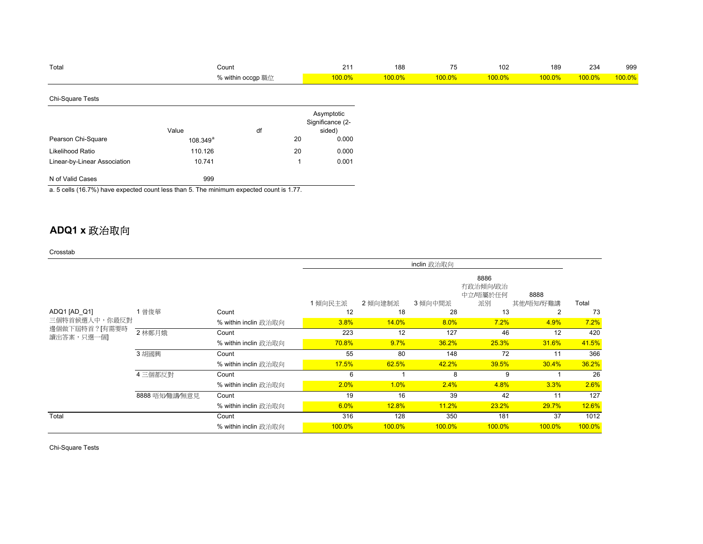| Total                                                                                   | Count                  |                   |    | 211                                      | 188    | 75     | 102       | 189    | 234    | 999    |
|-----------------------------------------------------------------------------------------|------------------------|-------------------|----|------------------------------------------|--------|--------|-----------|--------|--------|--------|
|                                                                                         |                        | % within occgp 職位 |    | 100.0%                                   | 100.0% | 100.0% | $100.0\%$ | 100.0% | 100.0% | 100.0% |
| Chi-Square Tests                                                                        |                        |                   |    |                                          |        |        |           |        |        |        |
|                                                                                         | Value                  | df                |    | Asymptotic<br>Significance (2-<br>sided) |        |        |           |        |        |        |
| Pearson Chi-Square                                                                      | $108.349$ <sup>a</sup> |                   | 20 | 0.000                                    |        |        |           |        |        |        |
| Likelihood Ratio                                                                        | 110.126                |                   | 20 | 0.000                                    |        |        |           |        |        |        |
| Linear-by-Linear Association                                                            | 10.741                 |                   |    | 0.001                                    |        |        |           |        |        |        |
| N of Valid Cases                                                                        | 999                    |                   |    |                                          |        |        |           |        |        |        |
| a. 5 cells (16.7%) have expected count less than 5. The minimum expected count is 1.77. |                        |                   |    |                                          |        |        |           |        |        |        |

# **ADQ1 x** 政治取向

Crosstab

|                                               |                |                      |        |               | inclin 政治取向   |                                          |                        |             |
|-----------------------------------------------|----------------|----------------------|--------|---------------|---------------|------------------------------------------|------------------------|-------------|
| ADQ1 [AD_Q1]                                  | 曾俊華            | 1傾向民主派<br>Count      |        | 2 傾向建制派<br>18 | 3 傾向中間派<br>28 | 8886<br>有政治傾向/政治<br>中立/唔屬於任何<br>派別<br>13 | 8888<br>其他/唔知/好難講<br>2 | Total<br>73 |
| 三個特首候選人中,你最反對<br>邊個做下屆特首? [有需要時<br>讀出答案,只選一個] |                | % within inclin 政治取向 | 3.8%   | 14.0%         | 8.0%          | 7.2%                                     | 4.9%                   | 7.2%        |
|                                               | 2 林鄭月娥         | Count                | 223    | 12            | 127           | 46                                       | 12                     | 420         |
|                                               |                | % within inclin 政治取向 | 70.8%  | 9.7%          | 36.2%         | 25.3%                                    | 31.6%                  | 41.5%       |
|                                               | 3 胡國興          | Count                | 55     | 80            | 148           | 72                                       | 11                     | 366         |
|                                               |                | % within inclin 政治取向 | 17.5%  | 62.5%         | 42.2%         | 39.5%                                    | 30.4%                  | 36.2%       |
|                                               | 4三個都反對         | Count                | 6      |               | 8             | 9                                        |                        | 26          |
|                                               |                | % within inclin 政治取向 | 2.0%   | 1.0%          | 2.4%          | 4.8%                                     | 3.3%                   | 2.6%        |
|                                               | 8888 唔知/難講/無意見 | Count                | 19     | 16            | 39            | 42                                       | 11                     | 127         |
|                                               |                | % within inclin 政治取向 | 6.0%   | 12.8%         | 11.2%         | 23.2%                                    | 29.7%                  | 12.6%       |
| Total                                         |                | Count                | 316    | 128           | 350           | 181                                      | 37                     | 1012        |
|                                               |                | % within inclin 政治取向 | 100.0% | 100.0%        | 100.0%        | 100.0%                                   | 100.0%                 | 100.0%      |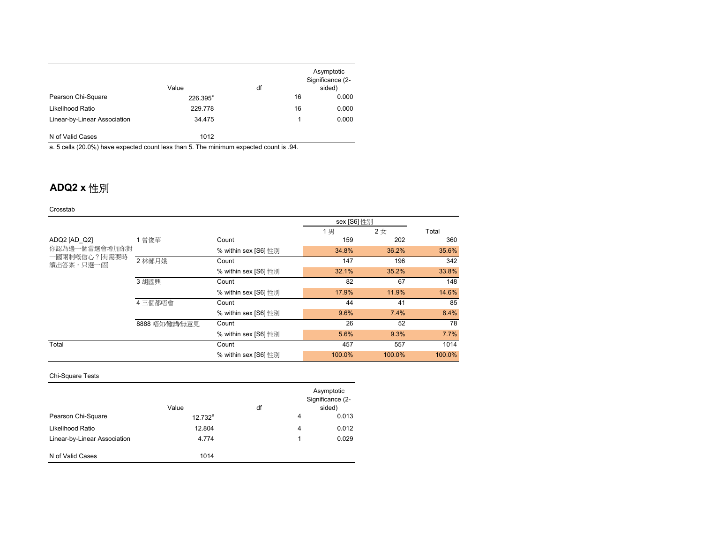|                                                                                        | Value       | df |    | Asymptotic<br>Significance (2-<br>sided) |
|----------------------------------------------------------------------------------------|-------------|----|----|------------------------------------------|
| Pearson Chi-Square                                                                     | $226.395^a$ |    | 16 | 0.000                                    |
| Likelihood Ratio                                                                       | 229.778     |    | 16 | 0.000                                    |
| Linear-by-Linear Association                                                           | 34.475      |    |    | 0.000                                    |
| N of Valid Cases                                                                       | 1012        |    |    |                                          |
| a. 5 cells (20.0%) have expected count less than 5. The minimum expected count is .94. |             |    |    |                                          |

### **ADQ2 x** 性別

Crosstab

|                                               |                |                      | sex [S6] 性別 |        |        |
|-----------------------------------------------|----------------|----------------------|-------------|--------|--------|
|                                               |                |                      | 1 男         | 2女     | Total  |
| ADQ2 [AD Q2]                                  | 1 曾俊華          | Count                | 159         | 202    | 360    |
| 你認為邊一個當選會增加你對<br>一國兩制嘅信心? [有需要時<br>讀出答案,只選一個1 |                | % within sex [S6] 性別 | 34.8%       | 36.2%  | 35.6%  |
|                                               | 2 林鄭月娥         | Count                | 147         | 196    | 342    |
|                                               |                | % within sex [S6] 性別 | 32.1%       | 35.2%  | 33.8%  |
|                                               | 3 胡國興          | Count                | 82          | 67     | 148    |
|                                               |                | % within sex [S6] 性別 | 17.9%       | 11.9%  | 14.6%  |
|                                               | 4 三個都唔會        | Count                | 44          | 41     | 85     |
|                                               |                | % within sex [S6] 性別 | 9.6%        | 7.4%   | 8.4%   |
|                                               | 8888 唔知/難講/無意見 | Count                | 26          | 52     | 78     |
|                                               |                | % within sex [S6] 性別 | 5.6%        | 9.3%   | 7.7%   |
| Total                                         |                | Count                | 457         | 557    | 1014   |
|                                               |                | % within sex [S6] 性別 | 100.0%      | 100.0% | 100.0% |

|                              | Value      | df |   | Asymptotic<br>Significance (2-<br>sided) |
|------------------------------|------------|----|---|------------------------------------------|
| Pearson Chi-Square           | $12.732^a$ |    | 4 | 0.013                                    |
| Likelihood Ratio             | 12.804     |    | 4 | 0.012                                    |
| Linear-by-Linear Association | 4.774      |    | 1 | 0.029                                    |
| N of Valid Cases             | 1014       |    |   |                                          |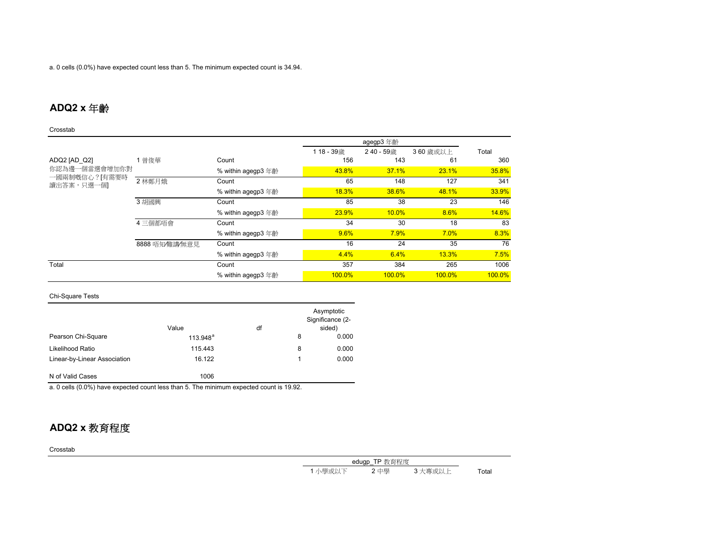### **ADQ2 x** 年齡

### Crosstab

|                              |                |                    | 118-39歳 | 240 - 59歳 | 360 歲或以上 | Total  |
|------------------------------|----------------|--------------------|---------|-----------|----------|--------|
| ADQ2 [AD Q2]                 | 1 曾俊華          | Count              | 156     | 143       | 61       | 360    |
| 你認為邊一個當選會增加你對                |                | % within agegp3 年齡 | 43.8%   | 37.1%     | 23.1%    | 35.8%  |
| 一國兩制嘅信心? [有需要時<br>讀出答案,只選一個1 | 2 林鄭月娥         | Count              | 65      | 148       | 127      | 341    |
|                              |                | % within agegp3 年齡 | 18.3%   | 38.6%     | 48.1%    | 33.9%  |
|                              | 3 胡國興          | Count              | 85      | 38        | 23       | 146    |
|                              |                | % within agegp3 年齡 | 23.9%   | $10.0\%$  | 8.6%     | 14.6%  |
|                              | 4三個都唔會         | Count              | 34      | 30        | 18       | 83     |
|                              |                | % within agegp3 年齡 | 9.6%    | 7.9%      | 7.0%     | 8.3%   |
|                              | 8888 唔知/難講/無意見 | Count              | 16      | 24        | 35       | 76     |
|                              |                | % within agegp3 年齡 | 4.4%    | 6.4%      | 13.3%    | 7.5%   |
| Total                        |                | Count              | 357     | 384       | 265      | 1006   |
|                              |                | % within agegp3 年齡 | 100.0%  | 100.0%    | 100.0%   | 100.0% |

#### Chi-Square Tests

|                              | Value       | df |   | Asymptotic<br>Significance (2-<br>sided) |
|------------------------------|-------------|----|---|------------------------------------------|
| Pearson Chi-Square           | $113.948^a$ |    | 8 | 0.000                                    |
| Likelihood Ratio             | 115.443     |    | 8 | 0.000                                    |
| Linear-by-Linear Association | 16.122      |    | 1 | 0.000                                    |
| N of Valid Cases             | 1006        |    |   |                                          |

a. 0 cells (0.0%) have expected count less than 5. The minimum expected count is 19.92.

## **ADQ2 x** 教育程度

|         | edugp TP 教育程度 |         |       |
|---------|---------------|---------|-------|
| 1 小學或以下 | 2 中學          | 3 大專或以上 | Total |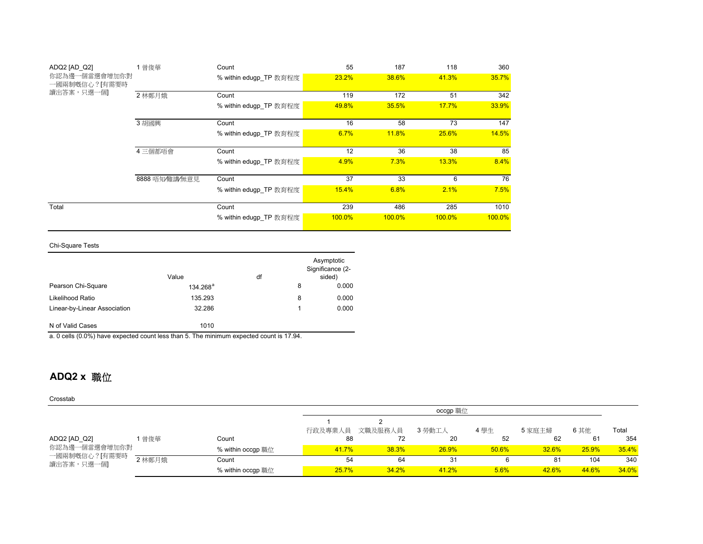| ADQ2 [AD Q2]                    | 1 曾俊華                  | Count                  | 55     | 187           | 118    | 360    |
|---------------------------------|------------------------|------------------------|--------|---------------|--------|--------|
| 你認為邊一個當選會增加你對<br>一國兩制嘅信心? [有需要時 |                        | % within edugp TP 教育程度 | 23.2%  | 38.6%         | 41.3%  | 35.7%  |
| 讀出答案,只選一個1                      | 2 林鄭月娥                 | Count                  | 119    | 172           | 51     | 342    |
|                                 |                        | % within edugp_TP 教育程度 | 49.8%  | 35.5%         | 17.7%  | 33.9%  |
|                                 | 3 胡國興                  | Count                  | 16     | 58            | 73     | 147    |
|                                 | % within edugp TP 教育程度 |                        | 6.7%   | <b>11.8%</b>  | 25.6%  | 14.5%  |
|                                 | 4 三個都唔會<br>Count       |                        | 12     | 36            | 38     | 85     |
|                                 | % within edugp TP 教育程度 |                        | 4.9%   | 7.3%          | 13.3%  | 8.4%   |
|                                 | 8888 唔知/難講/無意見         | Count                  | 37     | 33            | 6      | 76     |
|                                 |                        | % within edugp TP 教育程度 | 15.4%  | 6.8%          | 2.1%   | 7.5%   |
| Total                           |                        | Count                  | 239    | 486           | 285    | 1010   |
|                                 |                        | % within edugp TP 教育程度 | 100.0% | <b>100.0%</b> | 100.0% | 100.0% |

|                              | Value       | df |   | Asymptotic<br>Significance (2-<br>sided) |
|------------------------------|-------------|----|---|------------------------------------------|
| Pearson Chi-Square           | $134.268^a$ |    | 8 | 0.000                                    |
| Likelihood Ratio             | 135.293     |    | 8 | 0.000                                    |
| Linear-by-Linear Association | 32.286      |    |   | 0.000                                    |
| N of Valid Cases             | 1010        |    |   |                                          |

a. 0 cells (0.0%) have expected count less than 5. The minimum expected count is 17.94.

## **ADQ2 x** 職位

|                                                              |        |                   | occgp 職位 |         |        |       |        |       |       |
|--------------------------------------------------------------|--------|-------------------|----------|---------|--------|-------|--------|-------|-------|
|                                                              |        |                   |          |         |        |       |        |       |       |
|                                                              |        |                   | 行政及專業人員  | 文職及服務人員 | 3 勞動工人 | 4 學生  | 5 家庭主婦 | 6 其他  | Total |
| ADQ2 [AD_Q2]<br>你認為邊一個當選會增加你對<br>一國兩制嘅信心?[有需要時<br>讀出答案,只選一個] | 曾俊華    | Count             | 88       | 72      | 20     | 52    | 62     | 61    | 354   |
|                                                              |        | % within occgp 職位 | 41.7%    | 38.3%   | 26.9%  | 50.6% | 32.6%  | 25.9% | 35.4% |
|                                                              | 2 林鄭月娥 | Count             | 54       | 64      | 31     |       | 81     | 104   | 340   |
|                                                              |        | % within occgp 職位 | 25.7%    | 34.2%   | 41.2%  | 5.6%  | 42.6%  | 44.6% | 34.0% |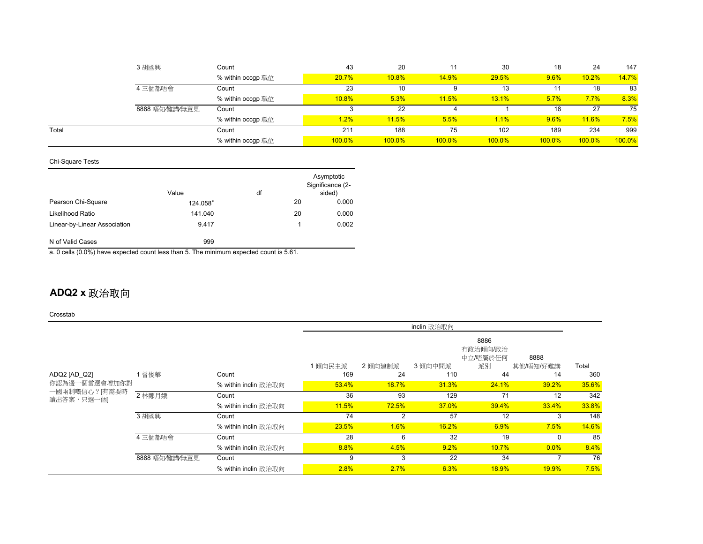|       | 3 胡國興          | Count             | 43       | 20     |        | 30     | 18     | 24     | 147    |
|-------|----------------|-------------------|----------|--------|--------|--------|--------|--------|--------|
|       |                | % within occgp 職位 | 20.7%    | 10.8%  | 14.9%  | 29.5%  | 9.6%   | 10.2%  | 14.7%  |
|       | 4三個都唔會         | Count             | 23       | 10     |        | 13     |        | 18     | 83     |
|       |                | % within occgp 職位 | $10.8\%$ | 5.3%   | 11.5%  | 13.1%  | 5.7%   | 7.7%   | 8.3%   |
|       | 8888 唔知/難講/無意見 | Count             |          | 22     |        |        | 18     | 27     | 75     |
|       |                | % within occgp 職位 | 1.2%     | 11.5%  | 5.5%   | 1.1%   | 9.6%   | 11.6%  | 7.5%   |
| Total |                | Count             | 211      | 188    | 75     | 102    | 189    | 234    | 999    |
|       |                | % within occgp 職位 | 100.0%   | 100.0% | 100.0% | 100.0% | 100.0% | 100.0% | 100.0% |

|                              | Value       | df |    | Asymptotic<br>Significance (2-<br>sided) |
|------------------------------|-------------|----|----|------------------------------------------|
| Pearson Chi-Square           | $124.058^a$ |    | 20 | 0.000                                    |
| Likelihood Ratio             | 141.040     |    | 20 | 0.000                                    |
| Linear-by-Linear Association | 9.417       |    |    | 0.002                                    |
| N of Valid Cases             | 999         |    |    |                                          |

a. 0 cells (0.0%) have expected count less than 5. The minimum expected count is 5.61.

## **ADQ2 x** 政治取向

|                                                               |                            |                      |       | inclin 政治取向 |       |                                                 |          |       |  |
|---------------------------------------------------------------|----------------------------|----------------------|-------|-------------|-------|-------------------------------------------------|----------|-------|--|
|                                                               | 1傾向民主派<br>2傾向建制派<br>3傾向中間派 |                      |       |             |       | 8886<br>有政治傾向/政治<br>中立/唔屬於任何<br>派別<br>其他/唔知/好難講 | Total    |       |  |
| ADQ2 [AD Q2]<br>你認為邊一個當選會增加你對<br>一國兩制嘅信心? [有需要時<br>讀出答案,只選一個] | 1 曾俊華                      | Count                | 169   | 24          | 110   | 44                                              | 14       | 360   |  |
|                                                               |                            | % within inclin 政治取向 | 53.4% | 18.7%       | 31.3% | 24.1%                                           | 39.2%    | 35.6% |  |
|                                                               | 2 林鄭月娥                     | Count                | 36    | 93          | 129   | 71                                              | 12       | 342   |  |
|                                                               |                            | % within inclin 政治取向 | 11.5% | 72.5%       | 37.0% | 39.4%                                           | 33.4%    | 33.8% |  |
|                                                               | 3 胡國興                      | Count                | 74    | 2           | 57    | 12                                              | 3        | 148   |  |
|                                                               |                            | % within inclin 政治取向 | 23.5% | 1.6%        | 16.2% | 6.9%                                            | 7.5%     | 14.6% |  |
|                                                               | 4三個都唔會                     | Count                | 28    | 6           | 32    | 19                                              | $\Omega$ | 85    |  |
|                                                               |                            | % within inclin 政治取向 | 8.8%  | 4.5%        | 9.2%  | 10.7%                                           | 0.0%     | 8.4%  |  |
|                                                               | 8888 唔知/難講/無意見             | Count                | 9     | 3           | 22    | 34                                              |          | 76    |  |
|                                                               |                            | % within inclin 政治取向 | 2.8%  | 2.7%        | 6.3%  | <b>18.9%</b>                                    | 19.9%    | 7.5%  |  |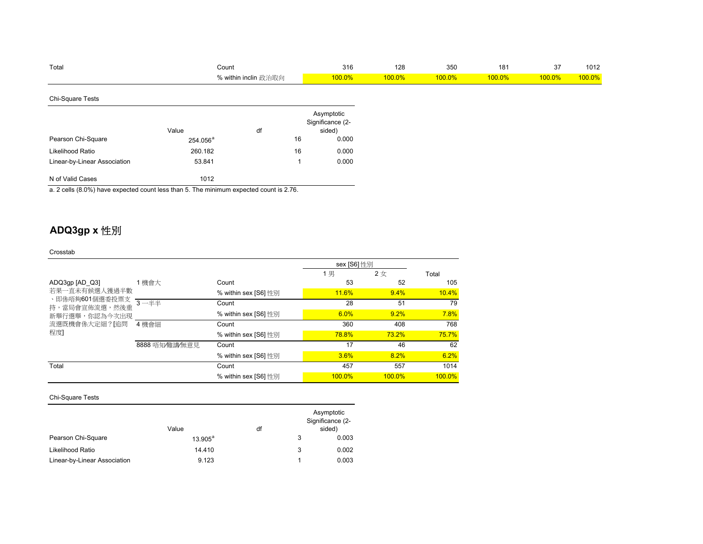| Total                        | Count                |                      |    | 316                                      | 128    | 350    | 181    | 37        | 1012   |
|------------------------------|----------------------|----------------------|----|------------------------------------------|--------|--------|--------|-----------|--------|
|                              |                      | % within inclin 政治取向 |    | 100.0%                                   | 100.0% | 100.0% | 100.0% | $100.0\%$ | 100.0% |
| Chi-Square Tests             |                      |                      |    |                                          |        |        |        |           |        |
|                              | Value                | df                   |    | Asymptotic<br>Significance (2-<br>sided) |        |        |        |           |        |
| Pearson Chi-Square           | 254.056 <sup>ª</sup> |                      | 16 | 0.000                                    |        |        |        |           |        |
| Likelihood Ratio             | 260.182              |                      | 16 | 0.000                                    |        |        |        |           |        |
| Linear-by-Linear Association | 53.841               |                      |    | 0.000                                    |        |        |        |           |        |
| N of Valid Cases             | 1012                 |                      |    |                                          |        |        |        |           |        |

a. 2 cells (8.0%) have expected count less than 5. The minimum expected count is 2.76.

# **ADQ3gp x** 性別

#### Crosstab

|                                                                   |                |                      | sex [S6] 性別  |           |           |
|-------------------------------------------------------------------|----------------|----------------------|--------------|-----------|-----------|
|                                                                   |                |                      | 1男           | 2女        | Total     |
| ADQ3gp [AD Q3]                                                    | 1 機會大          | Count                | 53           | 52        | 105       |
| 若果一直未有候選人獲過半數                                                     |                | % within sex [S6] 性別 | <b>11.6%</b> | 9.4%      | 10.4%     |
| 、即係唔夠601個選委投票支<br>持,當局會宣佈流選,然後重<br>新舉行選舉,你認為今次出現<br>流選既機會係大定細?[追問 | $3 - ##$       | Count                | 28           | 51        | 79        |
|                                                                   |                | % within sex [S6] 性別 | 6.0%         | 9.2%      | 7.8%      |
|                                                                   | 4 機會細          | Count                | 360          | 408       | 768       |
| 程度1                                                               |                | % within sex [S6] 性別 | 78.8%        | 73.2%     | 75.7%     |
|                                                                   | 8888 唔知/難講/無意見 | Count                | 17           | 46        | 62        |
|                                                                   |                | % within sex [S6] 性別 | 3.6%         | 8.2%      | 6.2%      |
| Total                                                             |                | Count                | 457          | 557       | 1014      |
|                                                                   |                | % within sex [S6] 性別 | $100.0\%$    | $100.0\%$ | $100.0\%$ |

|                              | Value               | df |   | Asymptotic<br>Significance (2-<br>sided) |
|------------------------------|---------------------|----|---|------------------------------------------|
| Pearson Chi-Square           | $13.905^{\text{a}}$ |    |   | 0.003                                    |
| Likelihood Ratio             | 14.410              |    | 3 | 0.002                                    |
| Linear-by-Linear Association | 9.123               |    |   | 0.003                                    |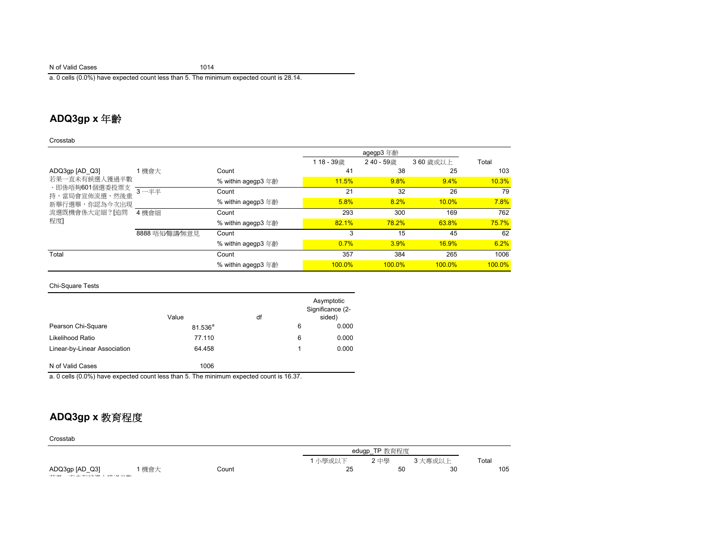### N of Valid Cases 1014

a. 0 cells (0.0%) have expected count less than 5. The minimum expected count is 28.14.

### **ADQ3gp x** 年齡

Crosstab

|                                 |                |                    | 118-39歳 | 240-59歳   | 360 歲或以上     | Total  |
|---------------------------------|----------------|--------------------|---------|-----------|--------------|--------|
| ADQ3gp [AD Q3]                  | 1 機會大          | Count              | 41      | 38        | 25           | 103    |
| 若果一直未有候選人獲過半數                   |                | % within agegp3 年齡 | 11.5%   | 9.8%      | 9.4%         | 10.3%  |
| 、即係唔夠601個選委投票支<br>持,當局會宣佈流選,然後重 | $3 - ##$       | Count              | 21      | 32        | 26           | 79     |
| 新舉行選舉,你認為今次出現                   |                | % within agegp3 年齡 | 5.8%    | 8.2%      | <b>10.0%</b> | 7.8%   |
| 流選既機會係大定細? [追問                  | 4 機會細          | Count              | 293     | 300       | 169          | 762    |
| 程度】                             |                | % within agegp3 年齡 | 82.1%   | 78.2%     | 63.8%        | 75.7%  |
|                                 | 8888 唔知/難講/無意見 | Count              | 3       | 15        | 45           | 62     |
|                                 |                | % within agegp3 年齡 | 0.7%    | 3.9%      | <b>16.9%</b> | 6.2%   |
| Total                           |                | Count              | 357     | 384       | 265          | 1006   |
|                                 |                | % within agegp3 年齡 | 100.0%  | $100.0\%$ | 100.0%       | 100.0% |

#### Chi-Square Tests

|                              | Value        | df |   | Asymptotic<br>Significance (2-<br>sided) |
|------------------------------|--------------|----|---|------------------------------------------|
| Pearson Chi-Square           | $81.536^{a}$ |    | 6 | 0.000                                    |
| Likelihood Ratio             | 77.110       |    | 6 | 0.000                                    |
| Linear-by-Linear Association | 64.458       |    |   | 0.000                                    |
| N of Valid Cases             | 1006         |    |   |                                          |

a. 0 cells (0.0%) have expected count less than 5. The minimum expected count is 16.37.

## **ADQ3gp x** 教育程度

|                          |     |       | edugp_TP 教育程度 |      |    |         |       |     |
|--------------------------|-----|-------|---------------|------|----|---------|-------|-----|
|                          |     |       | 工小學或以下        | 2 中學 |    | 3 大專或以上 | Total |     |
| ADQ3gp [AD_Q3]<br>$++++$ | 機會大 | Count | 25            |      | 50 | 30      |       | 105 |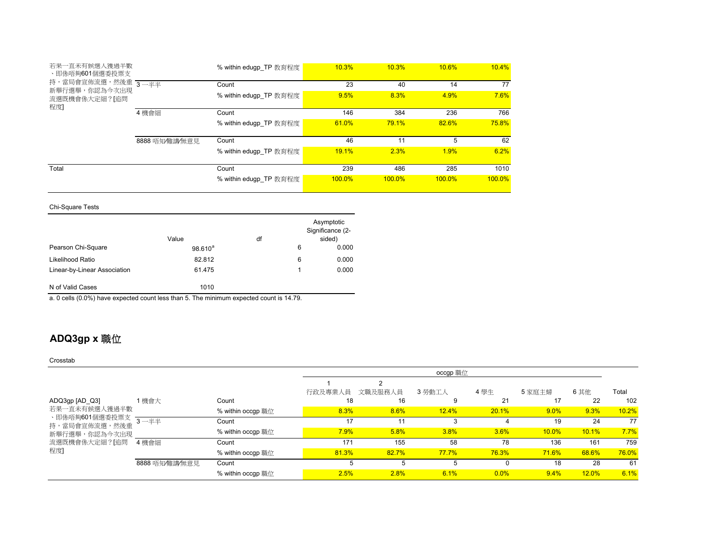| 若果一直未有候選人獲過半數<br>、即係唔夠601個選委投票支       |                | % within edugp TP 教育程度 | 10.3%        | 10.3%     | 10.6%     | 10.4%  |
|---------------------------------------|----------------|------------------------|--------------|-----------|-----------|--------|
| 持,當局會宣佈流選,然後重 3—半半                    |                | Count                  | 23           | 40        | 14        | 77     |
| 新舉行選舉,你認為今次出現<br>流選既機會係大定細?[追問<br>程度】 |                | % within edugp TP 教育程度 | 9.5%         | 8.3%      | 4.9%      | 7.6%   |
|                                       | 4 機會細          | Count                  | 146          | 384       | 236       | 766    |
|                                       |                | % within edugp TP 教育程度 | 61.0%        | 79.1%     | 82.6%     | 75.8%  |
|                                       | 8888 唔知/難講/無意見 | Count                  | 46           | 11        | 5         | 62     |
|                                       |                | % within edugp TP 教育程度 | <b>19.1%</b> | 2.3%      | 1.9%      | 6.2%   |
| Total                                 |                | Count                  | 239          | 486       | 285       | 1010   |
|                                       |                | % within edugp TP 教育程度 | 100.0%       | $100.0\%$ | $100.0\%$ | 100.0% |

|                              | Value        | df |   | Asymptotic<br>Significance (2-<br>sided) |
|------------------------------|--------------|----|---|------------------------------------------|
| Pearson Chi-Square           | $98.610^{a}$ |    | 6 | 0.000                                    |
| Likelihood Ratio             | 82.812       |    | 6 | 0.000                                    |
| Linear-by-Linear Association | 61.475       |    |   | 0.000                                    |
| N of Valid Cases             | 1010         |    |   |                                          |

a. 0 cells (0.0%) have expected count less than 5. The minimum expected count is 14.79.

# **ADQ3gp x** 職位

|                                        |                |                   | occgp 職位 |         |        |       |              |       |       |
|----------------------------------------|----------------|-------------------|----------|---------|--------|-------|--------------|-------|-------|
|                                        |                |                   |          | ົ       |        |       |              |       |       |
|                                        |                |                   | 行政及專業人員  | 文職及服務人員 | 3 勞動工人 | 4 學生  | 5家庭主婦        | 6 其他  | Total |
| ADQ3gp [AD_Q3]                         | 1 機會大          | Count             | 18       | 16      | 9      | 21    | 17           | 22    | 102   |
| 若果一直未有候選人獲過半數                          |                | % within occgp 職位 | 8.3%     | 8.6%    | 12.4%  | 20.1% | 9.0%         | 9.3%  | 10.2% |
| 、即係唔夠601個選委投票支<br>一半半<br>持,當局會宣佈流選,然後重 |                | Count             | 17       | 11      |        |       | 19           | 24    | 77    |
| 新舉行選舉,你認為今次出現                          |                | % within occgp 職位 | 7.9%     | 5.8%    | 3.8%   | 3.6%  | 10.0%        | 10.1% | 7.7%  |
| 流選既機會係大定細?[追問                          | 4 機會細          | Count             | 171      | 155     | 58     | 78    | 136          | 161   | 759   |
| 程度】                                    |                | % within occgp 職位 | 81.3%    | 82.7%   | 77.7%  | 76.3% | <b>71.6%</b> | 68.6% | 76.0% |
|                                        | 8888 唔知/難講/無意見 | Count             | 5        |         | 5      | 0     | 18           | 28    | 61    |
|                                        |                | % within occgp 職位 | 2.5%     | 2.8%    | 6.1%   | 0.0%  | 9.4%         | 12.0% | 6.1%  |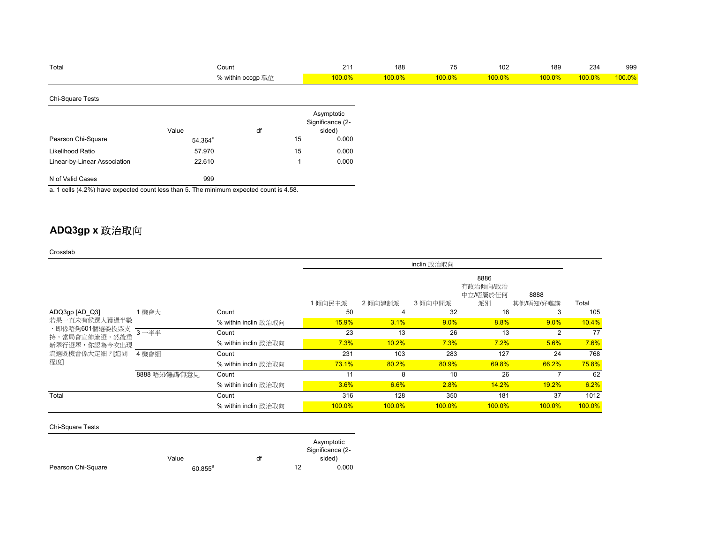| Total                                                                                  | Count               |                   |    | 211                                      | 188    | 75     | 102       | 189    | 234    | 999    |
|----------------------------------------------------------------------------------------|---------------------|-------------------|----|------------------------------------------|--------|--------|-----------|--------|--------|--------|
|                                                                                        |                     | % within occgp 職位 |    | <b>100.0%</b>                            | 100.0% | 100.0% | $100.0\%$ | 100.0% | 100.0% | 100.0% |
| Chi-Square Tests                                                                       |                     |                   |    |                                          |        |        |           |        |        |        |
|                                                                                        | Value               | df                |    | Asymptotic<br>Significance (2-<br>sided) |        |        |           |        |        |        |
| Pearson Chi-Square                                                                     | 54.364 <sup>a</sup> |                   | 15 | 0.000                                    |        |        |           |        |        |        |
| Likelihood Ratio                                                                       | 57.970              |                   | 15 | 0.000                                    |        |        |           |        |        |        |
| Linear-by-Linear Association                                                           | 22.610              |                   |    | 0.000                                    |        |        |           |        |        |        |
| N of Valid Cases                                                                       | 999                 |                   |    |                                          |        |        |           |        |        |        |
| a. 1 cells (4.2%) have expected count less than 5. The minimum expected count is 4.58. |                     |                   |    |                                          |        |        |           |        |        |        |

# **ADQ3gp x** 政治取向

Crosstab

|                                 |                |                      |        |           | inclin 政治取向 |                                    |                   |        |
|---------------------------------|----------------|----------------------|--------|-----------|-------------|------------------------------------|-------------------|--------|
|                                 |                |                      | 傾向民主派  | 2傾向建制派    | 3 傾向中間派     | 8886<br>有政治傾向/政治<br>中立/唔屬於任何<br>派別 | 8888<br>其他/唔知/好難講 | Total  |
| ADQ3gp [AD Q3]                  | 1 機會大          | Count                | 50     | 4         | 32          | 16                                 | 3                 | 105    |
| 若果一直未有候選人獲過半數                   |                | % within inclin 政治取向 | 15.9%  | 3.1%      | 9.0%        | 8.8%                               | 9.0%              | 10.4%  |
| 、即係唔夠601個選委投票支<br>持,當局會宣佈流選,然後重 | $3 - ##$       | Count                | 23     | 13        | 26          | 13                                 | 2                 | 77     |
| 新舉行選舉,你認為今次出現                   |                | % within inclin 政治取向 | 7.3%   | $10.2\%$  | 7.3%        | 7.2%                               | 5.6%              | 7.6%   |
| 流選既機會係大定細? [追問                  | 4 機會細          | Count                | 231    | 103       | 283         | 127                                | 24                | 768    |
| 程度】                             |                | % within inclin 政治取向 | 73.1%  | 80.2%     | 80.9%       | 69.8%                              | 66.2%             | 75.8%  |
|                                 | 8888 唔知/難講/無意見 | Count                |        | 8         | 10          | 26                                 |                   | 62     |
|                                 |                | % within inclin 政治取向 | 3.6%   | 6.6%      | 2.8%        | 14.2%                              | 19.2%             | 6.2%   |
| Total                           |                | Count                | 316    | 128       | 350         | 181                                | 37                | 1012   |
|                                 |                | % within inclin 政治取向 | 100.0% | $100.0\%$ | $100.0\%$   | $100.0\%$                          | $100.0\%$         | 100.0% |

|                    |                  |    |    | Asymptotic<br>Significance (2- |
|--------------------|------------------|----|----|--------------------------------|
|                    | Value            | df |    | sided)                         |
| Pearson Chi-Square | $60.855^{\circ}$ |    | 12 | 0.000                          |